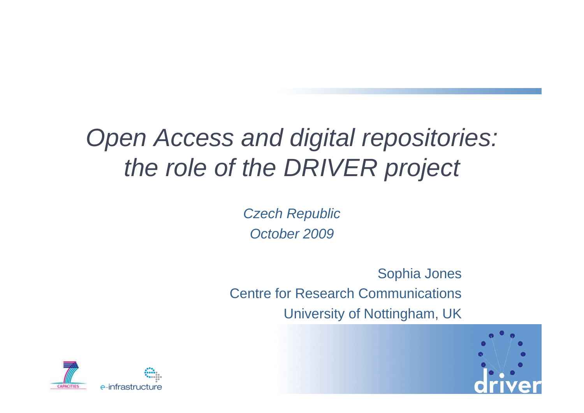## Open Access and digital repositories: the role of the DRIVER project

Czech RepublicOctober 2009

Sophia JonesCentre for Research CommunicationsUniversity of Nottingham, UK



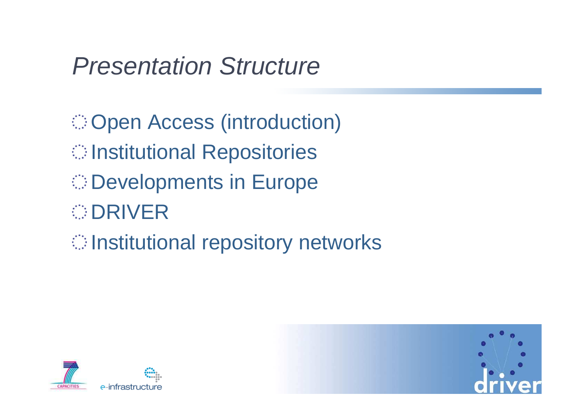## Presentation Structure

Open Access (introduction)**Institutional Repositories Developments in Europe DRIVER** Institutional repository networks



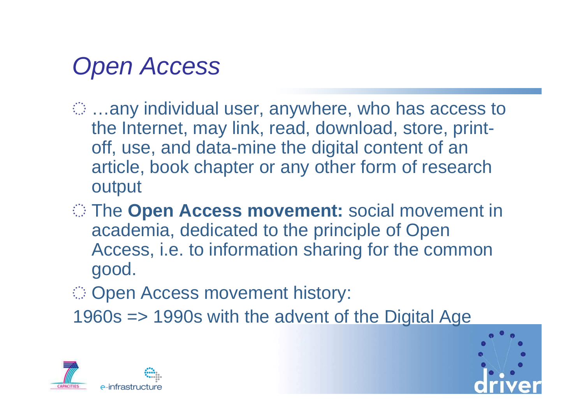## Open Access

- $\odot$  ...any individual user, anywhere, who has access to the Internet, may link, read, download, store, printoff, use, and data-mine the digital content of an article, book chapter or any other form of researchoutput
- The **Open Access movement:** social movement in academia, dedicated to the principle of Open Access, i.e. to information sharing for the common good.
- Open Access movement history:
- 1960s => 1990s with the advent of the Digital Age



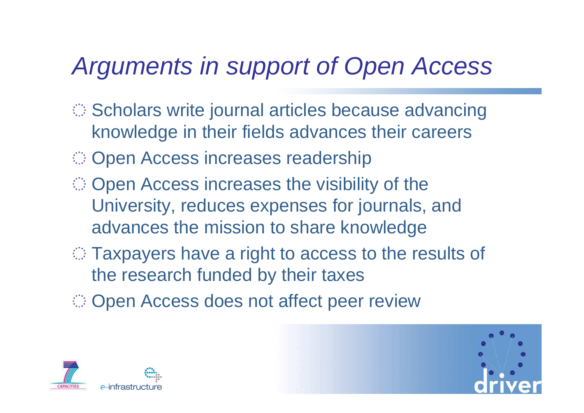## Arguments in support of Open Access

- Scholars write journal articles because advancing knowledge in their fields advances their careers
- Open Access increases readership
- $\odot$  Open Access increases the visibility of the University, reduces expenses for journals, and advances the mission to share knowledge
- $\circ$  Taxpayers have a right to access to the results of the research funded by their taxes
- Open Access does not affect peer review



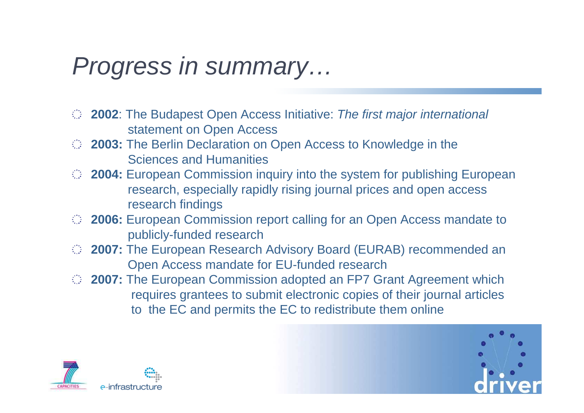## Progress in summary…

- **2002**: The Budapest Open Access Initiative: The first major internationalstatement on Open Access
- **2003:** The Berlin Declaration on Open Access to Knowledge in theSciences and Humanities
- **2004:** European Commission inquiry into the system for publishing Europeanresearch, especially rapidly rising journal prices and open access research findings
- **2006:** European Commission report calling for an Open Access mandate topublicly-funded research
- **2007:** The European Research Advisory Board (EURAB) recommended anOpen Access mandate for EU-funded research
- **2007:** The European Commission adopted an FP7 Grant Agreement which requires grantees to submit electronic copies of their journal articles to the EC and permits the EC to redistribute them online



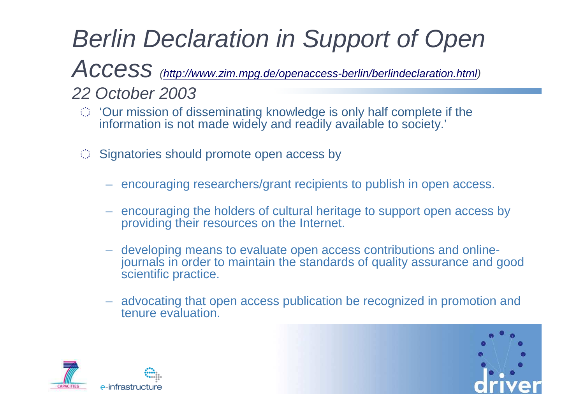# Berlin Declaration in Support of Open

#### Access (http://www.zim.mpg.de/openaccess-berlin/berlindeclaration.html)

### 22 October 2003

- 'Our mission of disseminating knowledge is only half complete if the information is not made widely and readily available to society.'
- Signatories should promote open access by-99
	- encouraging researchers/grant recipients to publish in open access.
	- – encouraging the holders of cultural heritage to support open access by providing their resources on the Internet.
	- developing means to evaluate open access contributions and onlinejournals in order to maintain the standards of quality assurance and good scientific practice.
	- advocating that open access publication be recognized in promotion and tenure evaluation.



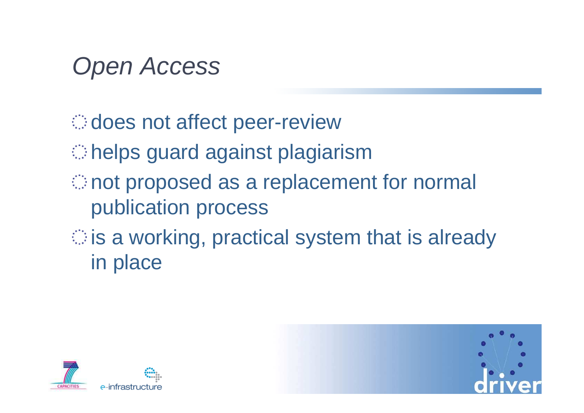## Open Access

does not affect peer-review

- helps guard against plagiarism
- not proposed as a replacement for normal publication process
- is a working, practical system that is already in place



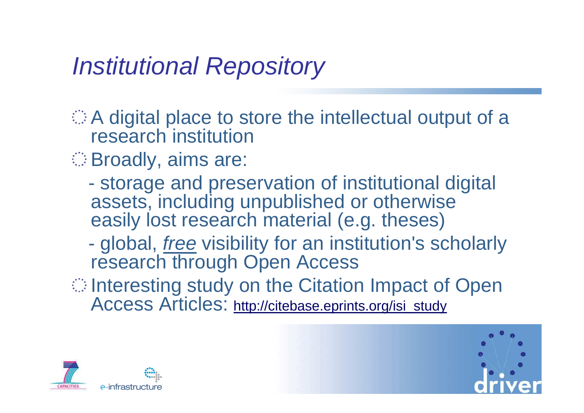## Institutional Repository

A digital place to store the intellectual output of a research institution

- Broadly, aims are:
	- $\mathcal{L}_{\mathcal{A}}$  storage and preservation of institutional digital assets, including unpublished or otherwise easily lost research material (e.g. theses)
	- global, *free* visibility for an institution's scholarly research through Open Access
- Interesting study on the Citation Impact of Open Access Articles: http://citebase.eprints.org/isi\_study



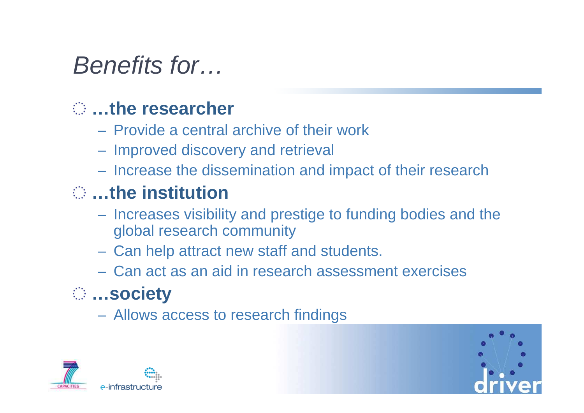## Benefits for…

### **…the researcher**

- Provide a central archive of their work
- Improved discovery and retrieval
- $\mathcal{L}_{\mathcal{A}}$  , and the set of the set of the set of the set of the set of the set of the set of the set of the set of the set of the set of the set of the set of the set of the set of the set of the set of the set of th Increase the dissemination and impact of their research

### **…the institution**

- Incraasas visihi Increases visibility and prestige to funding bodies and the global research community
- Can help attract new staff and students.
- Can act as an aid in research assessment exercises

### **…society**

Allows access to research findings



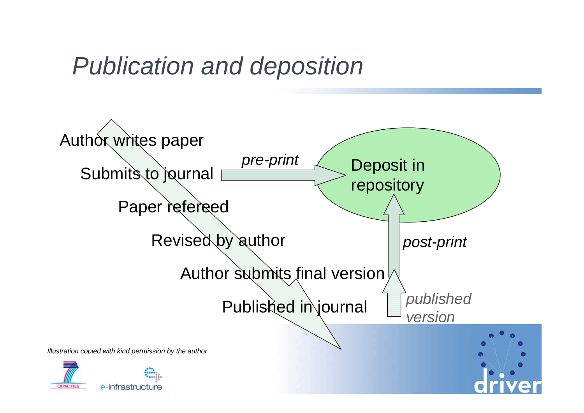## Publication and deposition

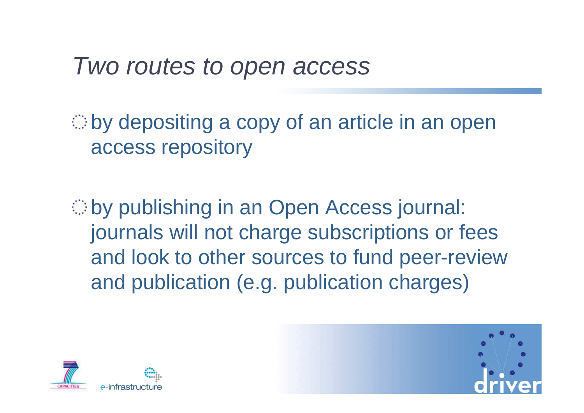Two routes to open access

by depositing a copy of an article in an open access repository

by publishing in an Open Access journal: journals will not charge subscriptions or fees and look to other sources to fund peer-review and publication (e.g. publication charges)



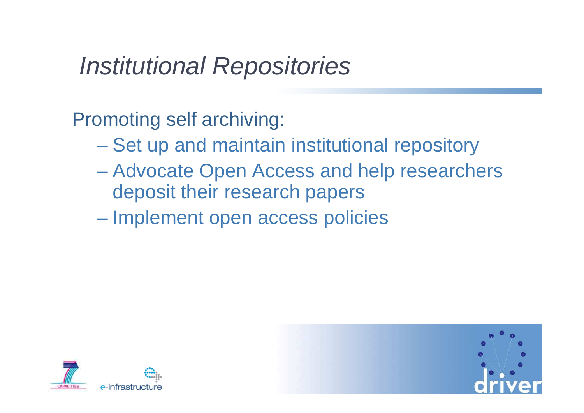## Institutional Repositories

Promoting self archiving:

- –Set up and maintain institutional repository
- **Hart Communication**  Advocate Open Access and help researchers deposit their research papers
- **Hart Communist Communist** Implement open access policies



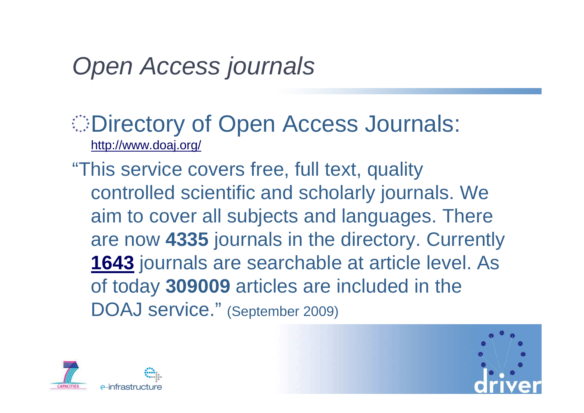## Open Access journals

Directory of Open Access Journals:http://www.doaj.org/

"This service covers free, full text, quality controlled scientific and scholarly journals. We aim to cover all subjects and languages. There are now **4335** journals in the directory. Currently **1643** journals are searchable at article level. As of today **309009** articles are included in the DOAJ service." (September 2009)



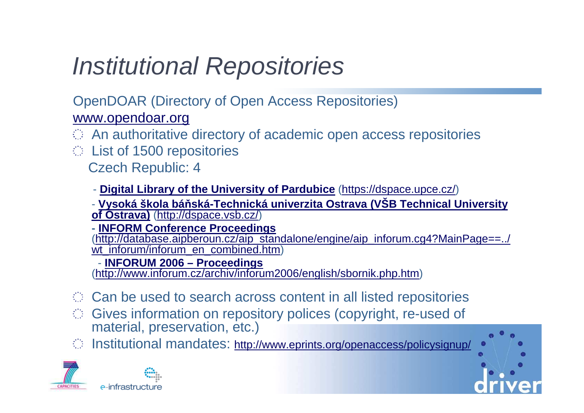## Institutional Repositories

OpenDOAR (Directory of Open Access Repositories)www.opendoar.org

- An authoritative directory of academic open access repositories
- List of 1500 repositories
	- Czech Republic: 4
	- **Digital Library of the University of Pardubice** (https://dspace.upce.cz/)

- **Vysoká škola bá**<sup>ň</sup>**ská-Technická univerzita Ostrava (VŠB Technical University of Ostrava)** (http://dspace.vsb.cz/)

**- INFORM Conference Proceedings** (http://database.aipberoun.cz/aip\_standalone/engine/aip\_inforum.cg4?MainPage==../wt\_inforum/inforum\_en\_combined.htm)

- **INFORUM 2006 – Proceedings**

(http://www.inforum.cz/archiv/inforum2006/english/sbornik.php.htm)

- Can be used to search across content in all listed repositories
- Gives information on repository polices (copyright, re-used of material, preservation, etc.)
- Institutional mandates: http://www.eprints.org/openaccess/policysignup/



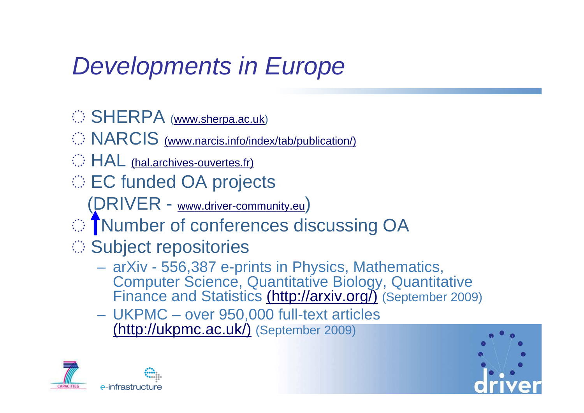## Developments in Europe

- SHERPA (www.sherpa.ac.uk)
- $\bigcirc$  NARCIS (www.narcis.info/index/tab/publication/)
- **HAL** (hal.archives-ouvertes.fr)
- **EC** funded OA projects

(DRIVER - www.driver-community.eu)

- Number of conferences discussing OA
- Subject repositories
	- arXiv 556 387 e-n arXiv - 556,387 e-prints in Physics, Mathematics, Computer Science, Quantitative Biology, Quantitative Finance and Statistics <u>(http://arxiv.org/)</u> (September 2009)
	- UKPMC over 950,000 full-text articles (<mark>http://ukpmc.ac.uk/)</mark> (September 2009)



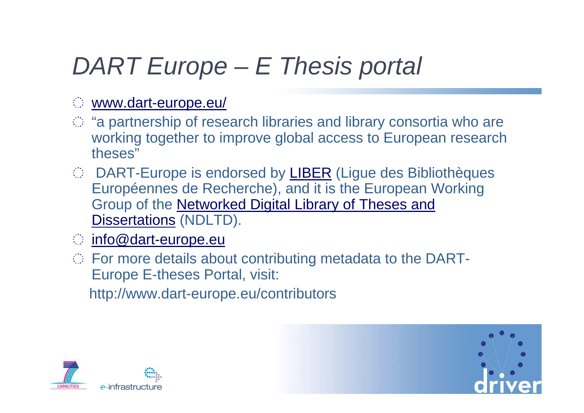## DART Europe – E Thesis portal

#### www.dart-europe.eu/

- $\degree$  "a partnership of research libraries and library consortia who are working together to improve global access to European research theses"
- DART-Europe is endorsed by <u>LIBER</u> (Ligue des Bibliothèques<br>Européennes de Peeberebe), and it is the Europeen Werking Européennes de Recherche), and it is the European Working Group of the Networked Digital Library of Theses and Dissertations (NDLTD).
- info@dart-europe.eu
- For more details about contributing metadata to the DART-Europe E-theses Portal, visit:

http://www.dart-europe.eu/contributors



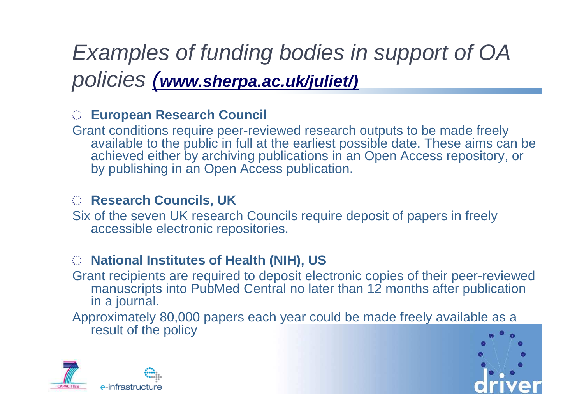## Examples of funding bodies in support of OA policies (**www.sherpa.ac.uk/juliet/)**

#### **European Research Council**

Grant conditions require peer-reviewed research outputs to be made freely available to the public in full at the earliest possible date. These aims can be achieved either by archiving publications in an Open Access repository, or by publishing in an Open Access publication.

#### **Research Councils, UK**

 Six of the seven UK research Councils require deposit of papers in freely accessible electronic repositories.

#### **National Institutes of Health (NIH), US**

Grant recipients are required to deposit electronic copies of their peer-reviewed manuscripts into PubMed Central no later than 12 months after publication in a journal.

Approximately 80,000 papers each year could be made freely available as a result of the policy



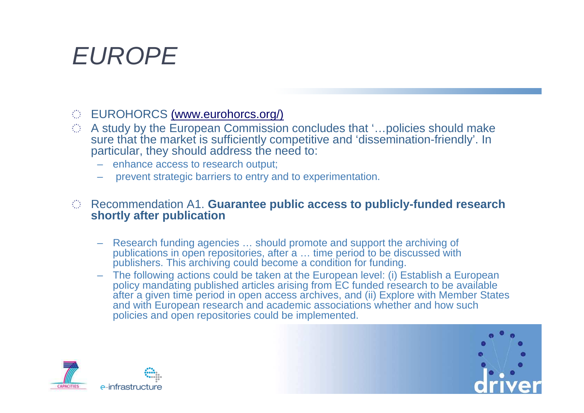## EUROPE

#### EUROHORCS (www.eurohorcs.org/)

- A study by the European Commission concludes that '…policies should make sure that the market is sufficiently competitive and 'dissemination-friendly'. In particular, they should address the need to:
	- enhance access to research output;
	- prevent strategic barriers to entry and to experimentation.

#### Recommendation A1. **Guarantee public access to publicly-funded researchshortly after publication**

- Research funding agencies … should promote and support the archiving of publications in open repositories, after a ... time period to be discussed with publishers. This archiving could become a condition for funding.
- The following actions could be taken at the European level: (i) Establish a European policy mandating published articles arising from EC funded research to be available after a given time period in open access archives, and (ii) Explore with Member States and with European research and academic associations whether and how such policies and open repositories could be implemented.



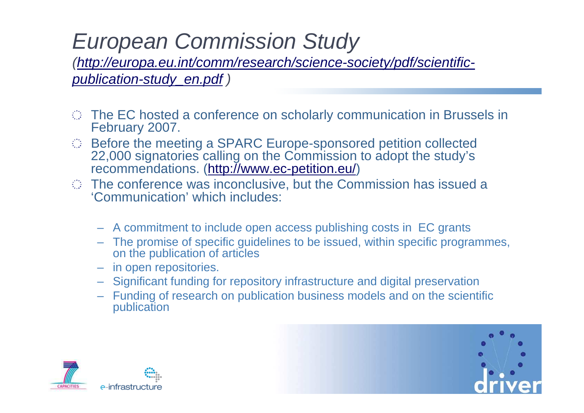## European Commission Study

 (http://europa.eu.int/comm/research/science-society/pdf/scientificpublication-study\_en.pdf)

- The EC hosted a conference on scholarly communication in Brussels in February 2007.
- Before the meeting a SPARC Europe-sponsored petition collected 22,000 signatories calling on the Commission to adopt the study's recommendations. (http://www.ec-petition.eu/)
- The conference was inconclusive, but the Commission has issued a'Communication' which includes:
	- A commitment to include open access publishing costs in EC grants
	- The promise of specific guidelines to be issued, within specific programmes, on the publication of articles
	- in open repositories.
	- Significant funding for repository infrastructure and digital preservation
	- Funding of research on publication business models and on the scientific publication



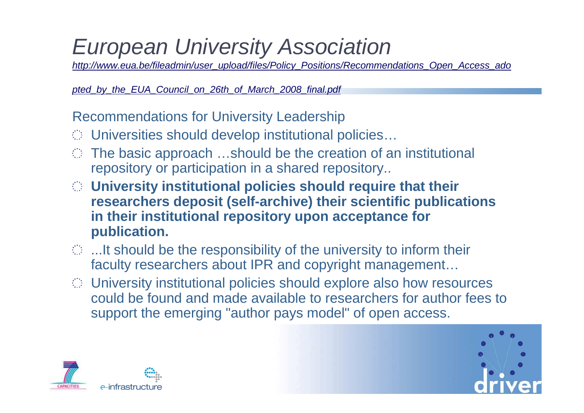## European University Association

http://www.eua.be/fileadmin/user\_upload/files/Policy\_Positions/Recommendations\_Open\_Access\_ado

pted by the EUA Council on 26th of March 2008 final.pdf

Recommendations for University Leadership

- Universities should develop institutional policies…
- The basic approach …should be the creation of an institutional repository or participation in a shared repository..
- **University institutional policies should require that their researchers deposit (self-archive) their scientific publications in their institutional repository upon acceptance for publication.**
- $\odot$  ...It should be the responsibility of the university to inform their faculty researchers about IPR and copyright management…
- University institutional policies should explore also how resources could be found and made available to researchers for author fees to support the emerging "author pays model" of open access.



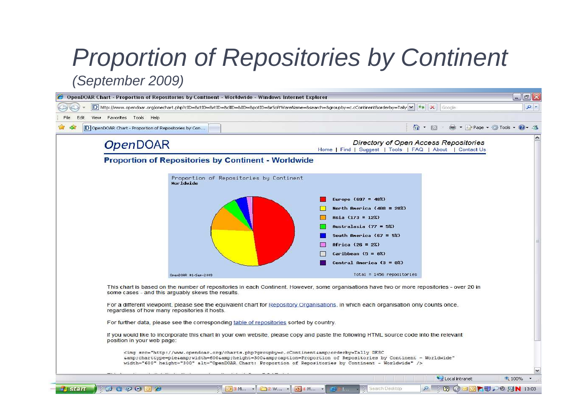# Proportion of Repositories by Continent

(September 2009)

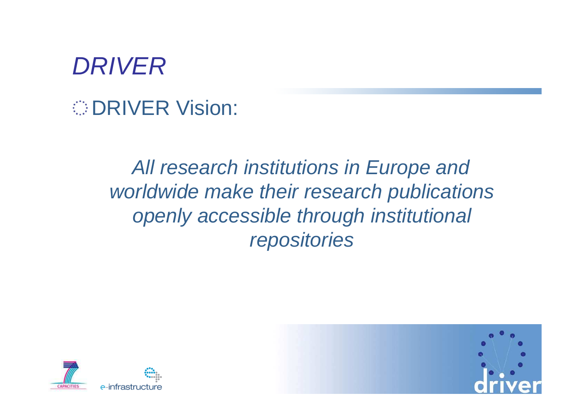## DRIVER**ODRIVER Vision:**

### All research institutions in Europe and worldwide make their research publications openly accessible through institutional repositories



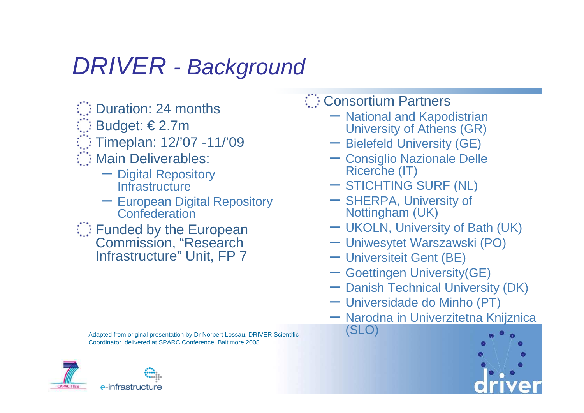## DRIVER - Background

- Duration: 24 months
- $\vdots$  Budget:  $\in$  2.7m
- Timeplan: 12/'07 -11/'09
- **Main Deliverables:** 
	- Digital Repository **Infrastructure**
	- European Digital Repository **Confederation**
	- Funded by the European Commission, "Research Infrastructure" Unit, FP 7

- Consortium Partners
	- National and Kapodistrian University of Athens (GR)
	- Bielefeld University (GE)
	- Consiglio Nazionale Delle Ricerche (IT)
	- STICHTING SURF (NL)
	- SHERPA, University of Nottingham (UK)
	- UKOLN, University of Bath (UK)
	- Uniwesytet Warszawski (PO)
	- Universiteit Gent (BE)
	- Goettingen University(GE)
	- Danish Technical University (DK)
	- Universidade do Minho (PT)
	- Narodna in Univerzitetna Knijznica (SLO)



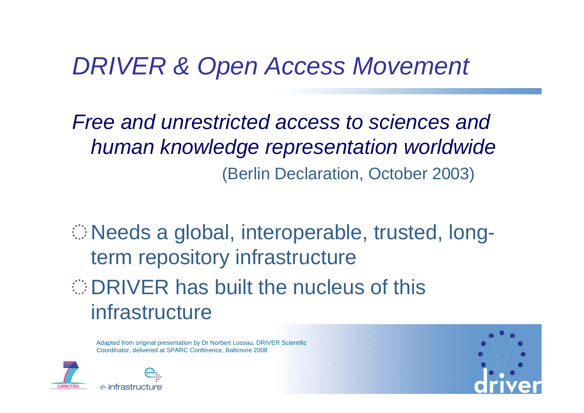## DRIVER & Open Access Movement

Free and unrestricted access to sciences and human knowledge representation worldwide(Berlin Declaration, October 2003)

Needs a global, interoperable, trusted, longterm repository infrastructure $\bigcirc$  DRIVER has built the nucleus of this infrastructure



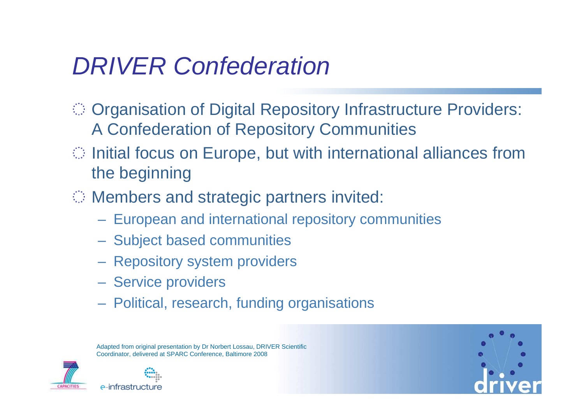## DRIVER Confederation

- Organisation of Digital Repository Infrastructure Providers: A Confederation of Repository Communities
- Initial focus on Europe, but with international alliances from the beginning
- $\heartsuit$  Members and strategic partners invited:
	- European and international repository communities
	- Subject based communities
	- Repository system providers
	- Service providers
	- Political, research, funding organisations



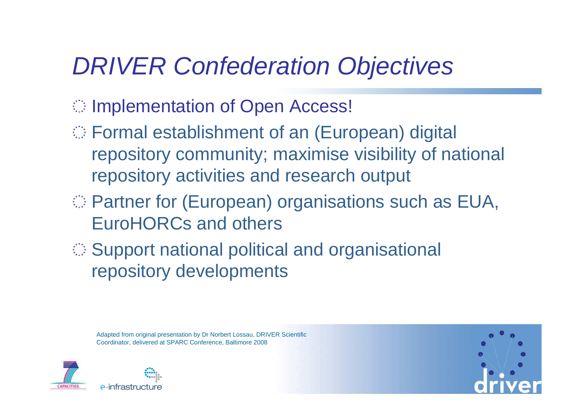## DRIVER Confederation Objectives

- Implementation of Open Access!
- Formal establishment of an (European) digital repository community; maximise visibility of national repository activities and research output
- Partner for (European) organisations such as EUA, EuroHORCs and others
- ◯ Support national political and organisational repository developments



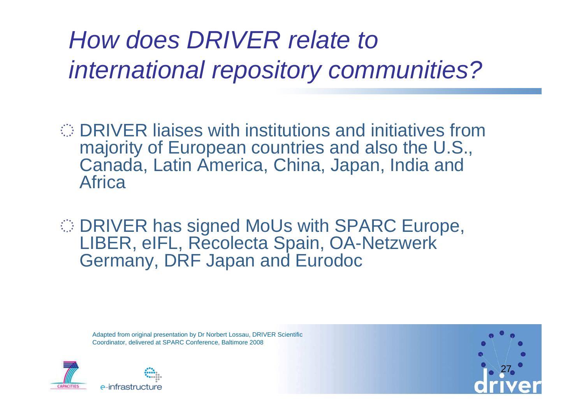How does DRIVER relate to international repository communities?

DRIVER liaises with institutions and initiatives from majority of European countries and also the U.S., Canada, Latin America, China, Japan, India and **Africa** 

DRIVER has signed MoUs with SPARC Europe, LIBER, eIFL, Recolecta Spain, OA-Netzwerk Germany, DRF Japan and Eurodoc



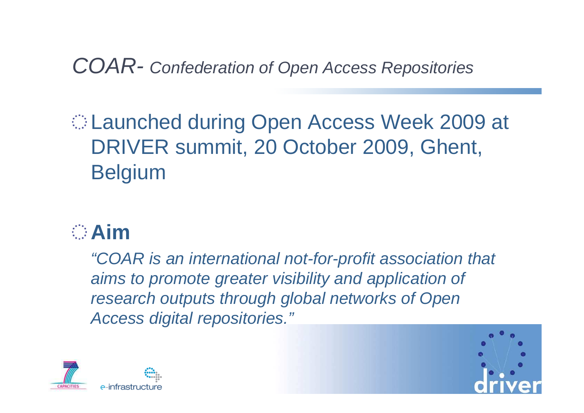COAR- Confederation of Open Access Repositories

Launched during Open Access Week 2009 at DRIVER summit, 20 October 2009, Ghent, Belgium

## **Aim**

"COAR is an international not-for-profit association that aims to promote greater visibility and application of research outputs through global networks of Open Access digital repositories."



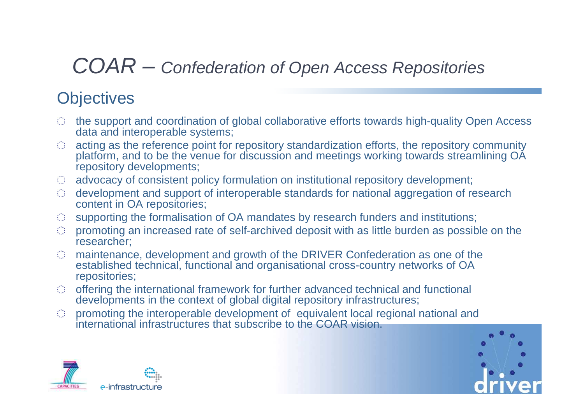## $COAR -$  Confederation of Open Access Repositories

#### **Objectives**

- the support and coordination of global collaborative efforts towards high-quality Open Access data and interoperable systems;
- acting as the reference point for repository standardization efforts, the repository community platform, and to be the venue for discussion and meetings working towards streamlining OA repository developments;
- advocacy of consistent policy formulation on institutional repository development;
- development and support of interoperable standards for national aggregation of research content in OA repositories;
- 稳。 supporting the formalisation of OA mandates by research funders and institutions;
- 第1 promoting an increased rate of self-archived deposit with as little burden as possible on the researcher;
- maintenance, development and growth of the DRIVER Confederation as one of the 30 L established technical, functional and organisational cross-country networks of OA repositories;
- offering the international framework for further advanced technical and functional developments in the context of global digital repository infrastructures;
- promoting the interoperable development of equivalent local regional national and 30. international infrastructures that subscribe to the COAR vision.



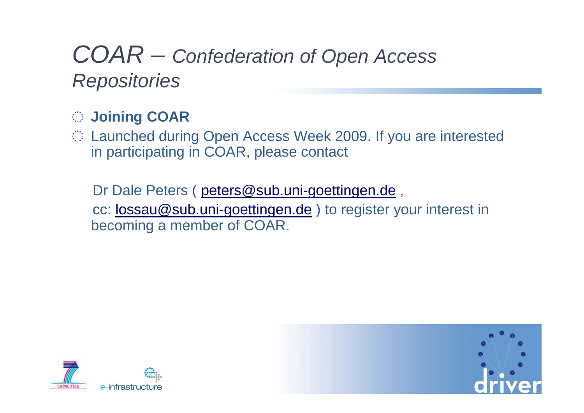## COAR – Confederation of Open Access **Repositories**

#### **Joining COAR**

Launched during Open Access Week 2009. If you are interested in participating in COAR, please contact

Dr Dale Peters ( <u>peters@sub.uni-goettingen.de</u> , cc: lossau@sub.uni-goettingen.de) to register your interest in becoming a member of COAR.



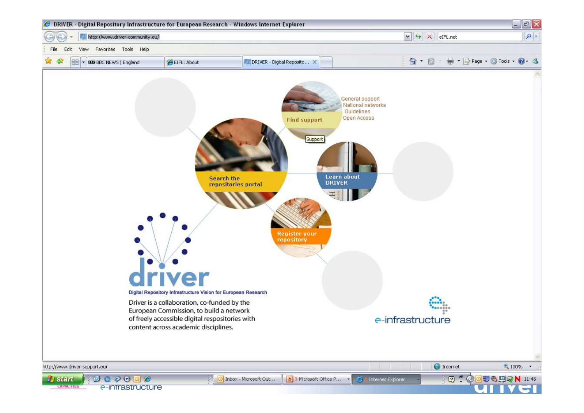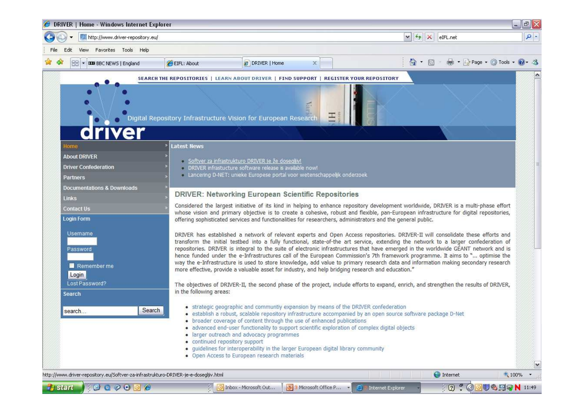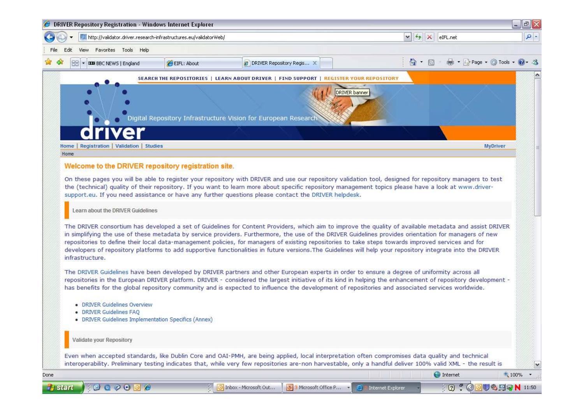|                                                                                                                                                                                                                                                                                                                                                                                                                          |                                                                                                                                                                                                                                                                                                                                                                                                                                                                                                                                                                                                                                                                                                                                                                                                                                                                                                                                                                                                                                                                                                                             |                                     | <b>DRIVER Repository Registration - Windows Internet Explorer</b> |                                                                                        |                                 |                                                                                                          | $ F$ $X$    |
|--------------------------------------------------------------------------------------------------------------------------------------------------------------------------------------------------------------------------------------------------------------------------------------------------------------------------------------------------------------------------------------------------------------------------|-----------------------------------------------------------------------------------------------------------------------------------------------------------------------------------------------------------------------------------------------------------------------------------------------------------------------------------------------------------------------------------------------------------------------------------------------------------------------------------------------------------------------------------------------------------------------------------------------------------------------------------------------------------------------------------------------------------------------------------------------------------------------------------------------------------------------------------------------------------------------------------------------------------------------------------------------------------------------------------------------------------------------------------------------------------------------------------------------------------------------------|-------------------------------------|-------------------------------------------------------------------|----------------------------------------------------------------------------------------|---------------------------------|----------------------------------------------------------------------------------------------------------|-------------|
|                                                                                                                                                                                                                                                                                                                                                                                                                          |                                                                                                                                                                                                                                                                                                                                                                                                                                                                                                                                                                                                                                                                                                                                                                                                                                                                                                                                                                                                                                                                                                                             |                                     | http://validator.driver.research-infrastructures.eu/validatorWeb/ |                                                                                        | $+$<br>$\vert \mathbf{v} \vert$ | $\times$<br>eIFL.net                                                                                     | $\alpha$    |
|                                                                                                                                                                                                                                                                                                                                                                                                                          | View                                                                                                                                                                                                                                                                                                                                                                                                                                                                                                                                                                                                                                                                                                                                                                                                                                                                                                                                                                                                                                                                                                                        | Favorites Tools Help                |                                                                   |                                                                                        |                                 |                                                                                                          |             |
|                                                                                                                                                                                                                                                                                                                                                                                                                          | <b>BBB</b> BBC NEWS   England                                                                                                                                                                                                                                                                                                                                                                                                                                                                                                                                                                                                                                                                                                                                                                                                                                                                                                                                                                                                                                                                                               |                                     | EEIFL: About                                                      | <b>P</b> DRIVER Repository Regis X                                                     | 合<br>ж.                         | <b>Contract</b><br>$\star$ $\left  \frac{1}{2} \right $ Page $\star$ C Tools $\star$<br>$\triangleright$ | Qarist      |
|                                                                                                                                                                                                                                                                                                                                                                                                                          |                                                                                                                                                                                                                                                                                                                                                                                                                                                                                                                                                                                                                                                                                                                                                                                                                                                                                                                                                                                                                                                                                                                             |                                     |                                                                   | SEARCH THE REPOSITORIES   LEARN ABOUT DRIVER   FIND SUPPORT   REGISTER YOUR REPOSITORY |                                 |                                                                                                          |             |
|                                                                                                                                                                                                                                                                                                                                                                                                                          |                                                                                                                                                                                                                                                                                                                                                                                                                                                                                                                                                                                                                                                                                                                                                                                                                                                                                                                                                                                                                                                                                                                             |                                     |                                                                   |                                                                                        | <b>DRIVER</b> banner            |                                                                                                          |             |
|                                                                                                                                                                                                                                                                                                                                                                                                                          |                                                                                                                                                                                                                                                                                                                                                                                                                                                                                                                                                                                                                                                                                                                                                                                                                                                                                                                                                                                                                                                                                                                             |                                     |                                                                   |                                                                                        |                                 |                                                                                                          |             |
|                                                                                                                                                                                                                                                                                                                                                                                                                          |                                                                                                                                                                                                                                                                                                                                                                                                                                                                                                                                                                                                                                                                                                                                                                                                                                                                                                                                                                                                                                                                                                                             |                                     |                                                                   | Digital Repository Infrastructure Vision for European Research                         |                                 |                                                                                                          |             |
|                                                                                                                                                                                                                                                                                                                                                                                                                          |                                                                                                                                                                                                                                                                                                                                                                                                                                                                                                                                                                                                                                                                                                                                                                                                                                                                                                                                                                                                                                                                                                                             |                                     |                                                                   |                                                                                        |                                 |                                                                                                          |             |
|                                                                                                                                                                                                                                                                                                                                                                                                                          | Home<br>Home                                                                                                                                                                                                                                                                                                                                                                                                                                                                                                                                                                                                                                                                                                                                                                                                                                                                                                                                                                                                                                                                                                                | Registration   Validation   Studies |                                                                   |                                                                                        |                                 | <b>MyDriver</b>                                                                                          |             |
|                                                                                                                                                                                                                                                                                                                                                                                                                          |                                                                                                                                                                                                                                                                                                                                                                                                                                                                                                                                                                                                                                                                                                                                                                                                                                                                                                                                                                                                                                                                                                                             |                                     | Welcome to the DRIVER repository registration site.               |                                                                                        |                                 |                                                                                                          |             |
| On these pages you will be able to register your repository with DRIVER and use our repository validation tool, designed for repository managers to test<br>the (technical) quality of their repository. If you want to learn more about specific repository management topics please have a look at www.driver-<br>support.eu. If you need assistance or have any further questions please contact the DRIVER helpdesk. |                                                                                                                                                                                                                                                                                                                                                                                                                                                                                                                                                                                                                                                                                                                                                                                                                                                                                                                                                                                                                                                                                                                             |                                     |                                                                   |                                                                                        |                                 |                                                                                                          |             |
|                                                                                                                                                                                                                                                                                                                                                                                                                          |                                                                                                                                                                                                                                                                                                                                                                                                                                                                                                                                                                                                                                                                                                                                                                                                                                                                                                                                                                                                                                                                                                                             | Learn about the DRIVER Guidelines   |                                                                   |                                                                                        |                                 |                                                                                                          |             |
|                                                                                                                                                                                                                                                                                                                                                                                                                          | The DRIVER consortium has developed a set of Guidelines for Content Providers, which aim to improve the quality of available metadata and assist DRIVER<br>in simplifying the use of these metadata by service providers. Furthermore, the use of the DRIVER Guidelines provides orientation for managers of new<br>repositories to define their local data-management policies, for managers of existing repositories to take steps towards improved services and for<br>developers of repository platforms to add supportive functionalities in future versions. The Guidelines will help your repository integrate into the DRIVER<br>infrastructure.<br>The DRIVER Guidelines have been developed by DRIVER partners and other European experts in order to ensure a degree of uniformity across all<br>repositories in the European DRIVER platform. DRIVER - considered the largest initiative of its kind in helping the enhancement of repository development -<br>has benefits for the global repository community and is expected to influence the development of repositories and associated services worldwide. |                                     |                                                                   |                                                                                        |                                 |                                                                                                          |             |
|                                                                                                                                                                                                                                                                                                                                                                                                                          |                                                                                                                                                                                                                                                                                                                                                                                                                                                                                                                                                                                                                                                                                                                                                                                                                                                                                                                                                                                                                                                                                                                             |                                     |                                                                   |                                                                                        |                                 |                                                                                                          |             |
|                                                                                                                                                                                                                                                                                                                                                                                                                          | · DRIVER Guidelines Overview<br>• DRIVER Guidelines FAO                                                                                                                                                                                                                                                                                                                                                                                                                                                                                                                                                                                                                                                                                                                                                                                                                                                                                                                                                                                                                                                                     |                                     | • DRIVER Guidelines Implementation Specifics (Annex)              |                                                                                        |                                 |                                                                                                          |             |
|                                                                                                                                                                                                                                                                                                                                                                                                                          | Validate your Repository                                                                                                                                                                                                                                                                                                                                                                                                                                                                                                                                                                                                                                                                                                                                                                                                                                                                                                                                                                                                                                                                                                    |                                     |                                                                   |                                                                                        |                                 |                                                                                                          |             |
| Even when accepted standards, like Dublin Core and OAI-PMH, are being applied, local interpretation often compromises data quality and technical<br>interoperability. Preliminary testing indicates that, while very few repositories are-non harvestable, only a handful deliver 100% valid XML - the result is                                                                                                         |                                                                                                                                                                                                                                                                                                                                                                                                                                                                                                                                                                                                                                                                                                                                                                                                                                                                                                                                                                                                                                                                                                                             |                                     |                                                                   |                                                                                        |                                 |                                                                                                          | $\check{ }$ |
| Done                                                                                                                                                                                                                                                                                                                                                                                                                     |                                                                                                                                                                                                                                                                                                                                                                                                                                                                                                                                                                                                                                                                                                                                                                                                                                                                                                                                                                                                                                                                                                                             |                                     |                                                                   |                                                                                        |                                 | <b>O</b> Internet                                                                                        | ● 100% ▼    |
| <b><i>H</i></b> start                                                                                                                                                                                                                                                                                                                                                                                                    |                                                                                                                                                                                                                                                                                                                                                                                                                                                                                                                                                                                                                                                                                                                                                                                                                                                                                                                                                                                                                                                                                                                             | 100000                              |                                                                   | O Inbox - Microsoft Out<br>3 Microsoft Office P                                        | Internet Explorer<br>D<br>- 71  | $\frac{1}{2}$ $\frac{1}{2}$<br>5 3 9 四字 N 11:50                                                          |             |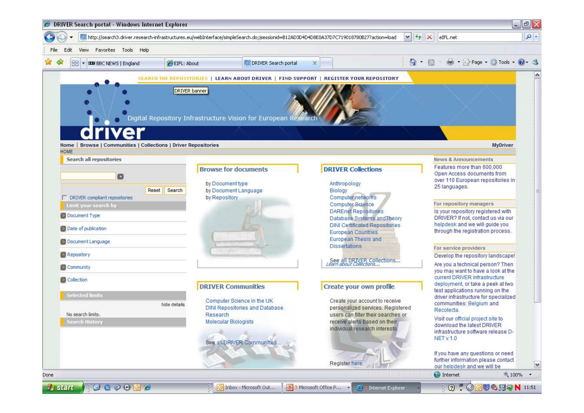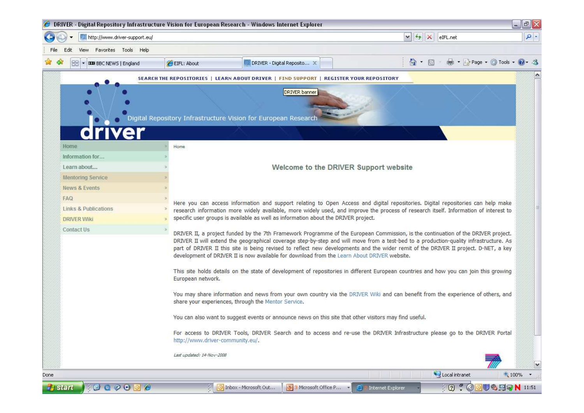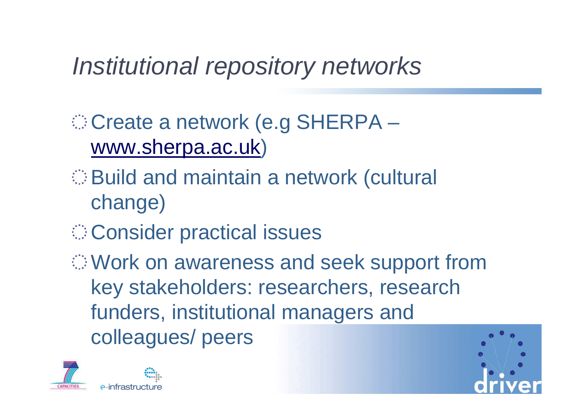## Institutional repository networks

Create a network (e.g SHERPA – www.sherpa.ac.uk)

- Build and maintain a network (cultural change)
- **Consider practical issues**

Work on awareness and seek support from key stakeholders: researchers, research funders, institutional managers and colleagues/ peers



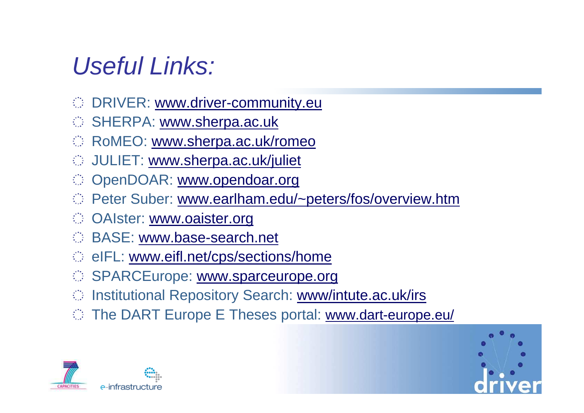## Useful Links:

- DRIVER: www.driver-community.eu
- SHERPA: www.sherpa.ac.uk
- RoMEO: www.sherpa.ac.uk/romeo
- JULIET: www.sherpa.ac.uk/juliet
- OpenDOAR: www.opendoar.org€).
- Peter Suber: www.earlham.edu/~peters/fos/overview.htm
- OAIster: www.oaister.org
- BASE: www.base-search.net
- eIFL: www.eifl.net/cps/sections/home
- SPARCEurope: www.sparceurope.org
- Institutional Repository Search: <u>www/intute.ac.uk/irs</u>
- The DART Europe E Theses portal: www.dart-europe.eu/